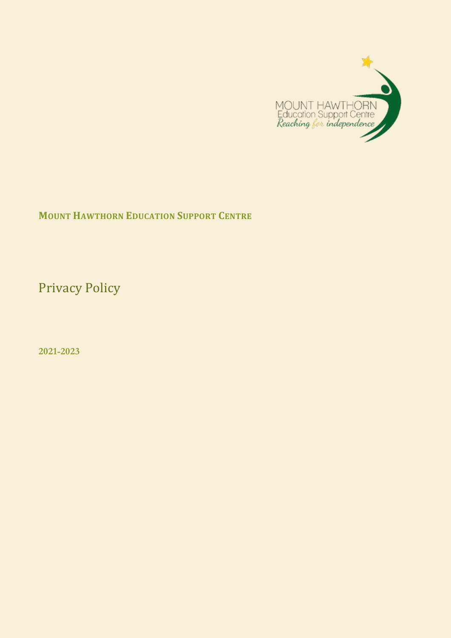

## **MOUNT HAWTHORN EDUCATION SUPPORT CENTRE**

Privacy Policy

**2021-2023**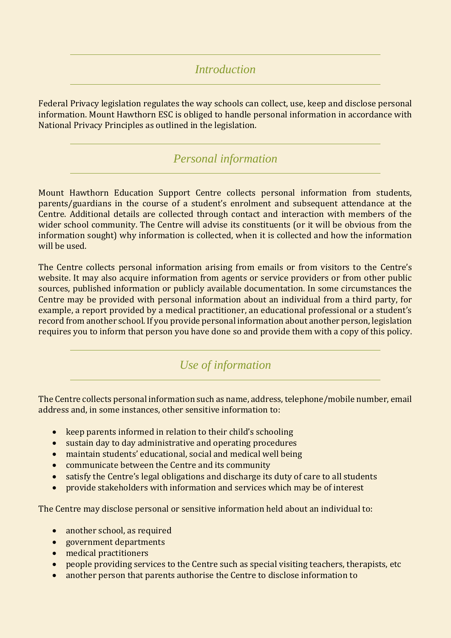#### *Introduction*

Federal Privacy legislation regulates the way schools can collect, use, keep and disclose personal information. Mount Hawthorn ESC is obliged to handle personal information in accordance with National Privacy Principles as outlined in the legislation.

### *Personal information*

Mount Hawthorn Education Support Centre collects personal information from students, parents/guardians in the course of a student's enrolment and subsequent attendance at the Centre. Additional details are collected through contact and interaction with members of the wider school community. The Centre will advise its constituents (or it will be obvious from the information sought) why information is collected, when it is collected and how the information will be used.

The Centre collects personal information arising from emails or from visitors to the Centre's website. It may also acquire information from agents or service providers or from other public sources, published information or publicly available documentation. In some circumstances the Centre may be provided with personal information about an individual from a third party, for example, a report provided by a medical practitioner, an educational professional or a student's record from another school. If you provide personal information about another person, legislation requires you to inform that person you have done so and provide them with a copy of this policy.

### *Use of information*

The Centre collects personal information such as name, address, telephone/mobile number, email address and, in some instances, other sensitive information to:

- keep parents informed in relation to their child's schooling
- sustain day to day administrative and operating procedures
- maintain students' educational, social and medical well being
- communicate between the Centre and its community
- satisfy the Centre's legal obligations and discharge its duty of care to all students
- provide stakeholders with information and services which may be of interest

The Centre may disclose personal or sensitive information held about an individual to:

- another school, as required
- government departments
- medical practitioners
- people providing services to the Centre such as special visiting teachers, therapists, etc
- another person that parents authorise the Centre to disclose information to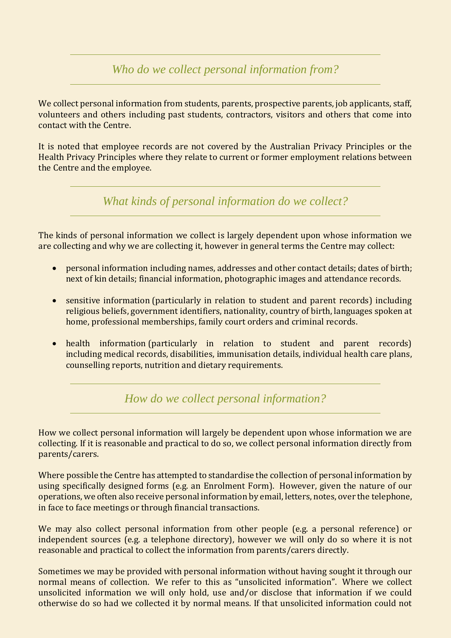*Who do we collect personal information from?*

We collect personal information from students, parents, prospective parents, job applicants, staff, volunteers and others including past students, contractors, visitors and others that come into contact with the Centre.

It is noted that employee records are not covered by the Australian Privacy Principles or the Health Privacy Principles where they relate to current or former employment relations between the Centre and the employee.

*What kinds of personal information do we collect?*

The kinds of personal information we collect is largely dependent upon whose information we are collecting and why we are collecting it, however in general terms the Centre may collect:

- personal information including names, addresses and other contact details; dates of birth; next of kin details; financial information, photographic images and attendance records.
- sensitive information (particularly in relation to student and parent records) including religious beliefs, government identifiers, nationality, country of birth, languages spoken at home, professional memberships, family court orders and criminal records.
- health information (particularly in relation to student and parent records) including medical records, disabilities, immunisation details, individual health care plans, counselling reports, nutrition and dietary requirements.

*How do we collect personal information?*

How we collect personal information will largely be dependent upon whose information we are collecting. If it is reasonable and practical to do so, we collect personal information directly from parents/carers.

Where possible the Centre has attempted to standardise the collection of personal information by using specifically designed forms (e.g. an Enrolment Form). However, given the nature of our operations, we often also receive personal information by email, letters, notes, over the telephone, in face to face meetings or through financial transactions.

We may also collect personal information from other people (e.g. a personal reference) or independent sources (e.g. a telephone directory), however we will only do so where it is not reasonable and practical to collect the information from parents/carers directly.

Sometimes we may be provided with personal information without having sought it through our normal means of collection. We refer to this as "unsolicited information". Where we collect unsolicited information we will only hold, use and/or disclose that information if we could otherwise do so had we collected it by normal means. If that unsolicited information could not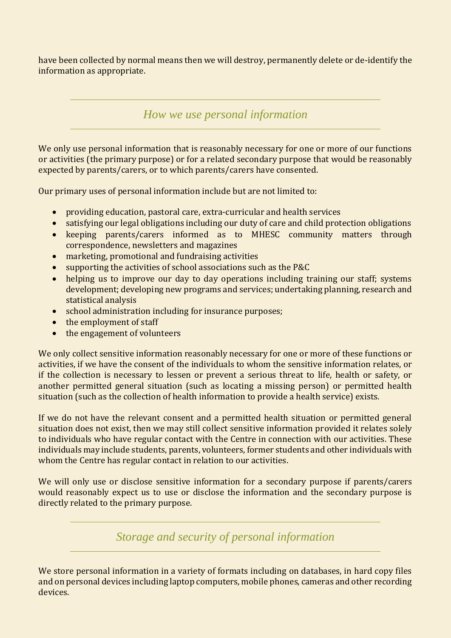have been collected by normal means then we will destroy, permanently delete or de-identify the information as appropriate.

*How we use personal information*

We only use personal information that is reasonably necessary for one or more of our functions or activities (the primary purpose) or for a related secondary purpose that would be reasonably expected by parents/carers, or to which parents/carers have consented.

Our primary uses of personal information include but are not limited to:

- providing education, pastoral care, extra-curricular and health services
- satisfying our legal obligations including our duty of care and child protection obligations
- keeping parents/carers informed as to MHESC community matters through correspondence, newsletters and magazines
- marketing, promotional and fundraising activities
- supporting the activities of school associations such as the P&C
- helping us to improve our day to day operations including training our staff; systems development; developing new programs and services; undertaking planning, research and statistical analysis
- school administration including for insurance purposes;
- the employment of staff
- the engagement of volunteers

We only collect sensitive information reasonably necessary for one or more of these functions or activities, if we have the consent of the individuals to whom the sensitive information relates, or if the collection is necessary to lessen or prevent a serious threat to life, health or safety, or another permitted general situation (such as locating a missing person) or permitted health situation (such as the collection of health information to provide a health service) exists.

If we do not have the relevant consent and a permitted health situation or permitted general situation does not exist, then we may still collect sensitive information provided it relates solely to individuals who have regular contact with the Centre in connection with our activities. These individuals may include students, parents, volunteers, former students and other individuals with whom the Centre has regular contact in relation to our activities.

We will only use or disclose sensitive information for a secondary purpose if parents/carers would reasonably expect us to use or disclose the information and the secondary purpose is directly related to the primary purpose.

*Storage and security of personal information*

We store personal information in a variety of formats including on databases, in hard copy files and on personal devices including laptop computers, mobile phones, cameras and other recording devices.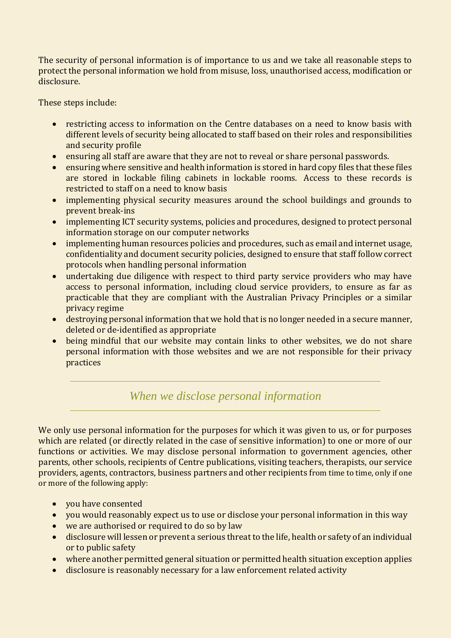The security of personal information is of importance to us and we take all reasonable steps to protect the personal information we hold from misuse, loss, unauthorised access, modification or disclosure.

These steps include:

- restricting access to information on the Centre databases on a need to know basis with different levels of security being allocated to staff based on their roles and responsibilities and security profile
- ensuring all staff are aware that they are not to reveal or share personal passwords.
- ensuring where sensitive and health information is stored in hard copy files that these files are stored in lockable filing cabinets in lockable rooms. Access to these records is restricted to staff on a need to know basis
- implementing physical security measures around the school buildings and grounds to prevent break-ins
- implementing ICT security systems, policies and procedures, designed to protect personal information storage on our computer networks
- implementing human resources policies and procedures, such as email and internet usage, confidentiality and document security policies, designed to ensure that staff follow correct protocols when handling personal information
- undertaking due diligence with respect to third party service providers who may have access to personal information, including cloud service providers, to ensure as far as practicable that they are compliant with the Australian Privacy Principles or a similar privacy regime
- destroying personal information that we hold that is no longer needed in a secure manner, deleted or de-identified as appropriate
- being mindful that our website may contain links to other websites, we do not share personal information with those websites and we are not responsible for their privacy practices

# *When we disclose personal information*

We only use personal information for the purposes for which it was given to us, or for purposes which are related (or directly related in the case of sensitive information) to one or more of our functions or activities. We may disclose personal information to government agencies, other parents, other schools, recipients of Centre publications, visiting teachers, therapists, our service providers, agents, contractors, business partners and other recipients from time to time, only if one or more of the following apply:

- vou have consented
- you would reasonably expect us to use or disclose your personal information in this way
- we are authorised or required to do so by law
- disclosure will lessen or prevent a serious threat to the life, health or safety of an individual or to public safety
- where another permitted general situation or permitted health situation exception applies
- disclosure is reasonably necessary for a law enforcement related activity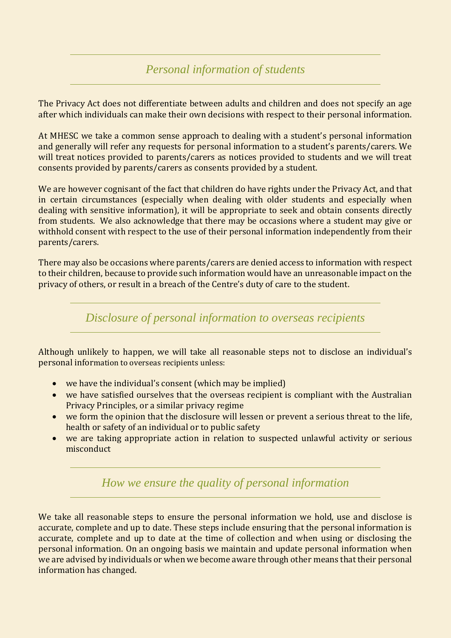#### *Personal information of students*

The Privacy Act does not differentiate between adults and children and does not specify an age after which individuals can make their own decisions with respect to their personal information.

At MHESC we take a common sense approach to dealing with a student's personal information and generally will refer any requests for personal information to a student's parents/carers. We will treat notices provided to parents/carers as notices provided to students and we will treat consents provided by parents/carers as consents provided by a student.

We are however cognisant of the fact that children do have rights under the Privacy Act, and that in certain circumstances (especially when dealing with older students and especially when dealing with sensitive information), it will be appropriate to seek and obtain consents directly from students. We also acknowledge that there may be occasions where a student may give or withhold consent with respect to the use of their personal information independently from their parents/carers.

There may also be occasions where parents/carers are denied access to information with respect to their children, because to provide such information would have an unreasonable impact on the privacy of others, or result in a breach of the Centre's duty of care to the student.

*Disclosure of personal information to overseas recipients*

Although unlikely to happen, we will take all reasonable steps not to disclose an individual's personal information to overseas recipients unless:

- we have the individual's consent (which may be implied)
- we have satisfied ourselves that the overseas recipient is compliant with the Australian Privacy Principles, or a similar privacy regime
- we form the opinion that the disclosure will lessen or prevent a serious threat to the life, health or safety of an individual or to public safety
- we are taking appropriate action in relation to suspected unlawful activity or serious misconduct

*How we ensure the quality of personal information*

We take all reasonable steps to ensure the personal information we hold, use and disclose is accurate, complete and up to date. These steps include ensuring that the personal information is accurate, complete and up to date at the time of collection and when using or disclosing the personal information. On an ongoing basis we maintain and update personal information when we are advised by individuals or when we become aware through other means that their personal information has changed.